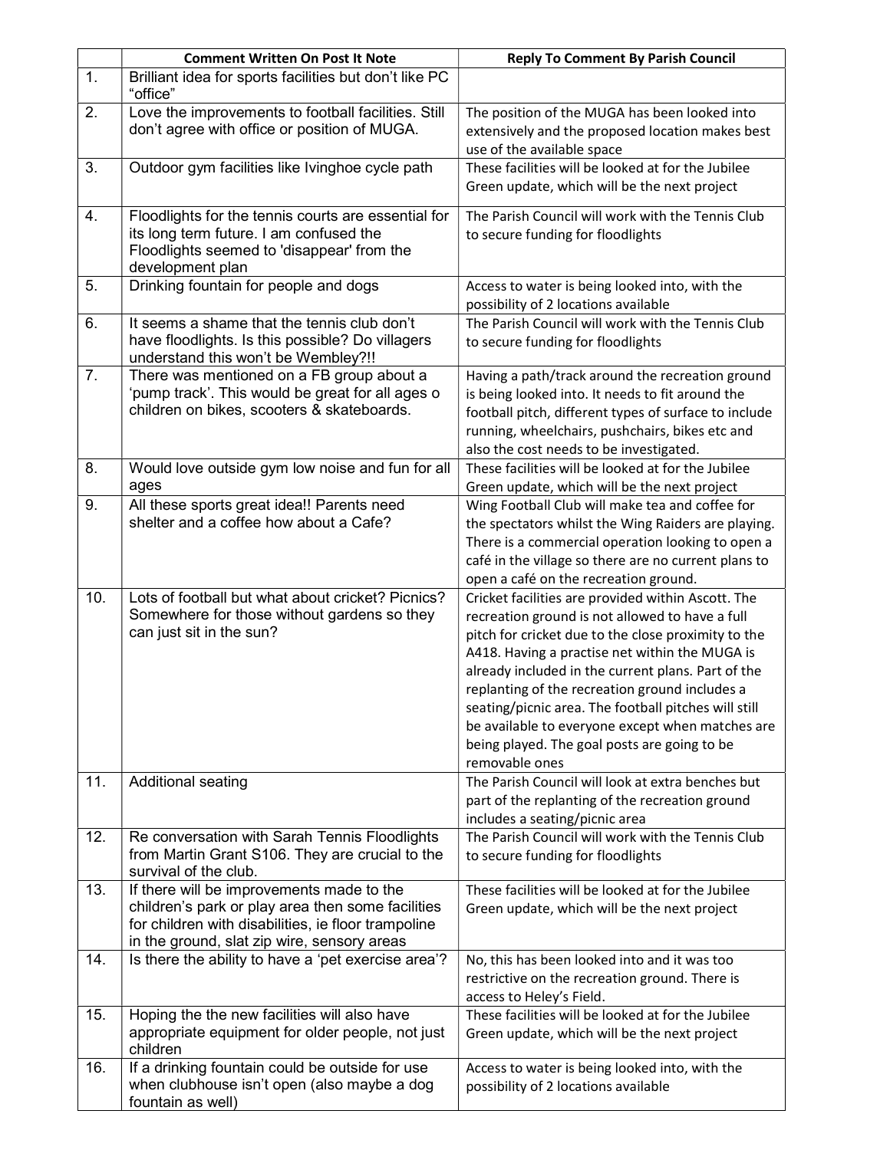|                  | <b>Comment Written On Post It Note</b>                                                                                                                                                               | <b>Reply To Comment By Parish Council</b>                                                                                                                                                                                                                                                                                                                                                                                                                                                            |
|------------------|------------------------------------------------------------------------------------------------------------------------------------------------------------------------------------------------------|------------------------------------------------------------------------------------------------------------------------------------------------------------------------------------------------------------------------------------------------------------------------------------------------------------------------------------------------------------------------------------------------------------------------------------------------------------------------------------------------------|
| $\mathbf{1}$ .   | Brilliant idea for sports facilities but don't like PC<br>"office"                                                                                                                                   |                                                                                                                                                                                                                                                                                                                                                                                                                                                                                                      |
| 2.               | Love the improvements to football facilities. Still<br>don't agree with office or position of MUGA.                                                                                                  | The position of the MUGA has been looked into<br>extensively and the proposed location makes best<br>use of the available space                                                                                                                                                                                                                                                                                                                                                                      |
| 3.               | Outdoor gym facilities like Ivinghoe cycle path                                                                                                                                                      | These facilities will be looked at for the Jubilee<br>Green update, which will be the next project                                                                                                                                                                                                                                                                                                                                                                                                   |
| $\overline{4}$ . | Floodlights for the tennis courts are essential for<br>its long term future. I am confused the<br>Floodlights seemed to 'disappear' from the<br>development plan                                     | The Parish Council will work with the Tennis Club<br>to secure funding for floodlights                                                                                                                                                                                                                                                                                                                                                                                                               |
| 5.               | Drinking fountain for people and dogs                                                                                                                                                                | Access to water is being looked into, with the<br>possibility of 2 locations available                                                                                                                                                                                                                                                                                                                                                                                                               |
| 6.               | It seems a shame that the tennis club don't<br>have floodlights. Is this possible? Do villagers<br>understand this won't be Wembley?!!                                                               | The Parish Council will work with the Tennis Club<br>to secure funding for floodlights                                                                                                                                                                                                                                                                                                                                                                                                               |
| 7.               | There was mentioned on a FB group about a<br>'pump track'. This would be great for all ages o<br>children on bikes, scooters & skateboards.                                                          | Having a path/track around the recreation ground<br>is being looked into. It needs to fit around the<br>football pitch, different types of surface to include<br>running, wheelchairs, pushchairs, bikes etc and<br>also the cost needs to be investigated.                                                                                                                                                                                                                                          |
| 8.               | Would love outside gym low noise and fun for all<br>ages                                                                                                                                             | These facilities will be looked at for the Jubilee<br>Green update, which will be the next project                                                                                                                                                                                                                                                                                                                                                                                                   |
| 9.               | All these sports great idea !! Parents need<br>shelter and a coffee how about a Cafe?                                                                                                                | Wing Football Club will make tea and coffee for<br>the spectators whilst the Wing Raiders are playing.<br>There is a commercial operation looking to open a<br>café in the village so there are no current plans to<br>open a café on the recreation ground.                                                                                                                                                                                                                                         |
| 10.              | Lots of football but what about cricket? Picnics?<br>Somewhere for those without gardens so they<br>can just sit in the sun?                                                                         | Cricket facilities are provided within Ascott. The<br>recreation ground is not allowed to have a full<br>pitch for cricket due to the close proximity to the<br>A418. Having a practise net within the MUGA is<br>already included in the current plans. Part of the<br>replanting of the recreation ground includes a<br>seating/picnic area. The football pitches will still<br>be available to everyone except when matches are<br>being played. The goal posts are going to be<br>removable ones |
| 11.              | Additional seating                                                                                                                                                                                   | The Parish Council will look at extra benches but<br>part of the replanting of the recreation ground<br>includes a seating/picnic area                                                                                                                                                                                                                                                                                                                                                               |
| 12.              | Re conversation with Sarah Tennis Floodlights<br>from Martin Grant S106. They are crucial to the<br>survival of the club.                                                                            | The Parish Council will work with the Tennis Club<br>to secure funding for floodlights                                                                                                                                                                                                                                                                                                                                                                                                               |
| 13.              | If there will be improvements made to the<br>children's park or play area then some facilities<br>for children with disabilities, ie floor trampoline<br>in the ground, slat zip wire, sensory areas | These facilities will be looked at for the Jubilee<br>Green update, which will be the next project                                                                                                                                                                                                                                                                                                                                                                                                   |
| 14.              | Is there the ability to have a 'pet exercise area'?                                                                                                                                                  | No, this has been looked into and it was too<br>restrictive on the recreation ground. There is<br>access to Heley's Field.                                                                                                                                                                                                                                                                                                                                                                           |
| 15.              | Hoping the the new facilities will also have<br>appropriate equipment for older people, not just<br>children                                                                                         | These facilities will be looked at for the Jubilee<br>Green update, which will be the next project                                                                                                                                                                                                                                                                                                                                                                                                   |
| 16.              | If a drinking fountain could be outside for use<br>when clubhouse isn't open (also maybe a dog<br>fountain as well)                                                                                  | Access to water is being looked into, with the<br>possibility of 2 locations available                                                                                                                                                                                                                                                                                                                                                                                                               |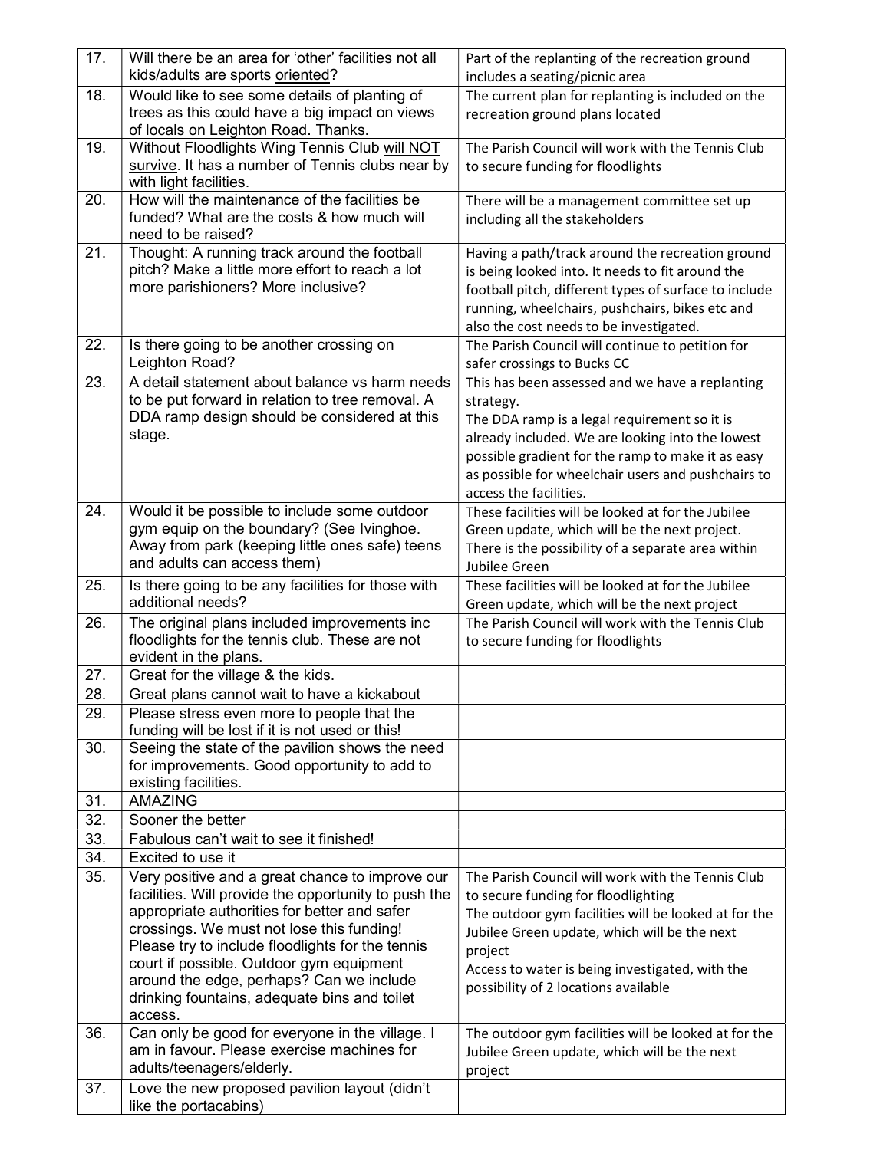| 17. | Will there be an area for 'other' facilities not all                                            | Part of the replanting of the recreation ground                     |
|-----|-------------------------------------------------------------------------------------------------|---------------------------------------------------------------------|
|     | kids/adults are sports oriented?                                                                | includes a seating/picnic area                                      |
| 18. | Would like to see some details of planting of<br>trees as this could have a big impact on views | The current plan for replanting is included on the                  |
|     | of locals on Leighton Road. Thanks.                                                             | recreation ground plans located                                     |
| 19. | Without Floodlights Wing Tennis Club will NOT                                                   | The Parish Council will work with the Tennis Club                   |
|     | survive. It has a number of Tennis clubs near by                                                | to secure funding for floodlights                                   |
|     | with light facilities.                                                                          |                                                                     |
| 20. | How will the maintenance of the facilities be                                                   | There will be a management committee set up                         |
|     | funded? What are the costs & how much will                                                      | including all the stakeholders                                      |
|     | need to be raised?                                                                              |                                                                     |
| 21. | Thought: A running track around the football                                                    | Having a path/track around the recreation ground                    |
|     | pitch? Make a little more effort to reach a lot                                                 | is being looked into. It needs to fit around the                    |
|     | more parishioners? More inclusive?                                                              | football pitch, different types of surface to include               |
|     |                                                                                                 | running, wheelchairs, pushchairs, bikes etc and                     |
|     |                                                                                                 | also the cost needs to be investigated.                             |
| 22. | Is there going to be another crossing on                                                        | The Parish Council will continue to petition for                    |
|     | Leighton Road?                                                                                  | safer crossings to Bucks CC                                         |
| 23. | A detail statement about balance vs harm needs                                                  | This has been assessed and we have a replanting                     |
|     | to be put forward in relation to tree removal. A                                                | strategy.                                                           |
|     | DDA ramp design should be considered at this                                                    | The DDA ramp is a legal requirement so it is                        |
|     | stage.                                                                                          | already included. We are looking into the lowest                    |
|     |                                                                                                 | possible gradient for the ramp to make it as easy                   |
|     |                                                                                                 | as possible for wheelchair users and pushchairs to                  |
|     |                                                                                                 | access the facilities.                                              |
| 24. | Would it be possible to include some outdoor                                                    | These facilities will be looked at for the Jubilee                  |
|     | gym equip on the boundary? (See Ivinghoe.<br>Away from park (keeping little ones safe) teens    | Green update, which will be the next project.                       |
|     | and adults can access them)                                                                     | There is the possibility of a separate area within                  |
| 25. | Is there going to be any facilities for those with                                              | Jubilee Green<br>These facilities will be looked at for the Jubilee |
|     |                                                                                                 |                                                                     |
|     | additional needs?                                                                               | Green update, which will be the next project                        |
| 26. | The original plans included improvements inc                                                    | The Parish Council will work with the Tennis Club                   |
|     | floodlights for the tennis club. These are not                                                  | to secure funding for floodlights                                   |
|     | evident in the plans.                                                                           |                                                                     |
| 27. | Great for the village & the kids.                                                               |                                                                     |
| 28. | Great plans cannot wait to have a kickabout                                                     |                                                                     |
| 29. | Please stress even more to people that the                                                      |                                                                     |
|     | funding will be lost if it is not used or this!                                                 |                                                                     |
| 30. | Seeing the state of the pavilion shows the need                                                 |                                                                     |
|     | for improvements. Good opportunity to add to                                                    |                                                                     |
| 31. | existing facilities.<br><b>AMAZING</b>                                                          |                                                                     |
| 32. | Sooner the better                                                                               |                                                                     |
| 33. | Fabulous can't wait to see it finished!                                                         |                                                                     |
| 34. | Excited to use it                                                                               |                                                                     |
| 35. | Very positive and a great chance to improve our                                                 | The Parish Council will work with the Tennis Club                   |
|     | facilities. Will provide the opportunity to push the                                            | to secure funding for floodlighting                                 |
|     | appropriate authorities for better and safer                                                    | The outdoor gym facilities will be looked at for the                |
|     | crossings. We must not lose this funding!                                                       | Jubilee Green update, which will be the next                        |
|     | Please try to include floodlights for the tennis                                                | project                                                             |
|     | court if possible. Outdoor gym equipment                                                        | Access to water is being investigated, with the                     |
|     | around the edge, perhaps? Can we include                                                        | possibility of 2 locations available                                |
|     | drinking fountains, adequate bins and toilet                                                    |                                                                     |
|     | access.                                                                                         |                                                                     |
| 36. | Can only be good for everyone in the village. I<br>am in favour. Please exercise machines for   | The outdoor gym facilities will be looked at for the                |
|     | adults/teenagers/elderly.                                                                       | Jubilee Green update, which will be the next                        |
| 37. | Love the new proposed pavilion layout (didn't                                                   | project                                                             |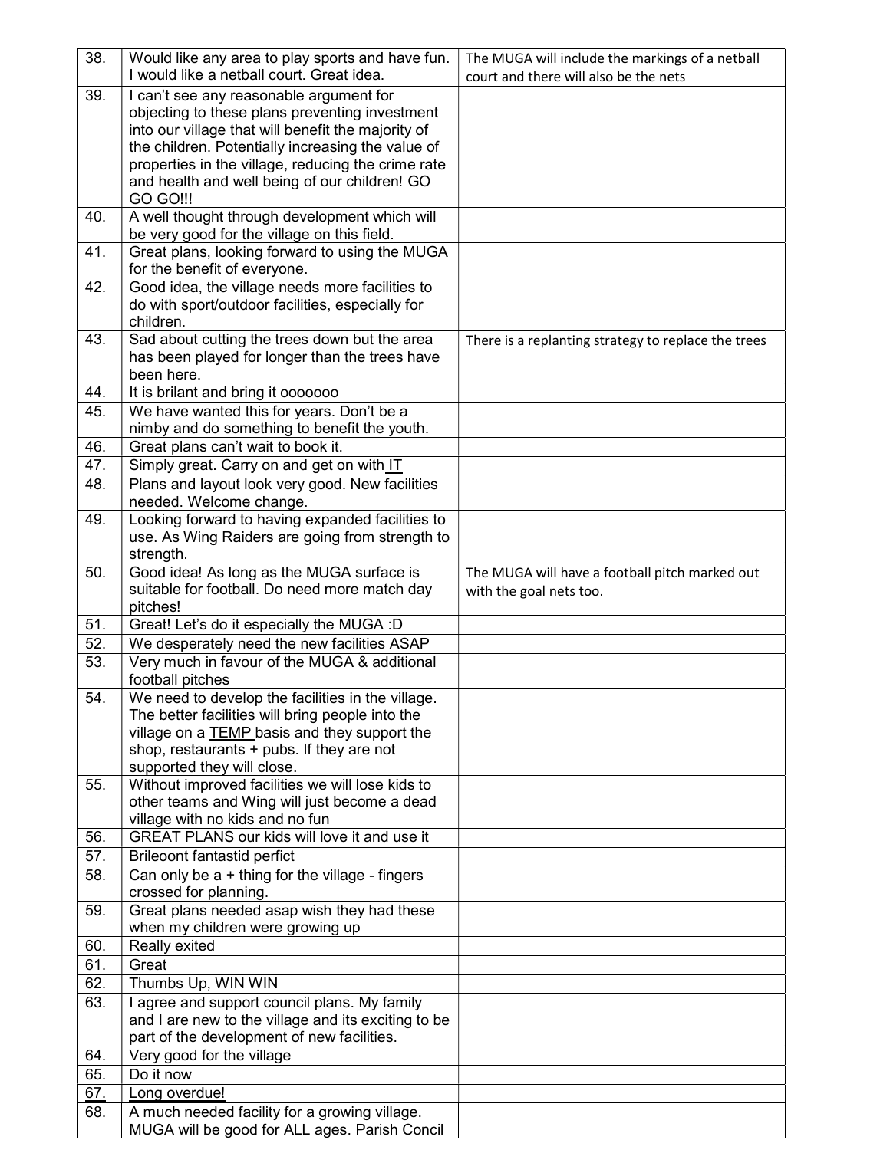| 38. | Would like any area to play sports and have fun.                                                     | The MUGA will include the markings of a netball     |
|-----|------------------------------------------------------------------------------------------------------|-----------------------------------------------------|
|     | I would like a netball court. Great idea.                                                            | court and there will also be the nets               |
| 39. | I can't see any reasonable argument for                                                              |                                                     |
|     | objecting to these plans preventing investment<br>into our village that will benefit the majority of |                                                     |
|     | the children. Potentially increasing the value of                                                    |                                                     |
|     | properties in the village, reducing the crime rate                                                   |                                                     |
|     | and health and well being of our children! GO                                                        |                                                     |
|     | <b>GO GO!!!</b>                                                                                      |                                                     |
| 40. | A well thought through development which will                                                        |                                                     |
|     | be very good for the village on this field.                                                          |                                                     |
| 41. | Great plans, looking forward to using the MUGA                                                       |                                                     |
|     | for the benefit of everyone.                                                                         |                                                     |
| 42. | Good idea, the village needs more facilities to<br>do with sport/outdoor facilities, especially for  |                                                     |
|     | children.                                                                                            |                                                     |
| 43. | Sad about cutting the trees down but the area                                                        | There is a replanting strategy to replace the trees |
|     | has been played for longer than the trees have                                                       |                                                     |
|     | been here.                                                                                           |                                                     |
| 44. | It is brilant and bring it 0000000                                                                   |                                                     |
| 45. | We have wanted this for years. Don't be a                                                            |                                                     |
|     | nimby and do something to benefit the youth.                                                         |                                                     |
| 46. | Great plans can't wait to book it.                                                                   |                                                     |
| 47. | Simply great. Carry on and get on with IT                                                            |                                                     |
| 48. | Plans and layout look very good. New facilities                                                      |                                                     |
|     | needed. Welcome change.                                                                              |                                                     |
| 49. | Looking forward to having expanded facilities to                                                     |                                                     |
|     | use. As Wing Raiders are going from strength to<br>strength.                                         |                                                     |
| 50. | Good idea! As long as the MUGA surface is                                                            | The MUGA will have a football pitch marked out      |
|     | suitable for football. Do need more match day                                                        | with the goal nets too.                             |
|     | pitches!                                                                                             |                                                     |
| 51. | Great! Let's do it especially the MUGA :D                                                            |                                                     |
| 52. | We desperately need the new facilities ASAP                                                          |                                                     |
| 53. | Very much in favour of the MUGA & additional                                                         |                                                     |
|     | football pitches                                                                                     |                                                     |
| 54. | We need to develop the facilities in the village.                                                    |                                                     |
|     | The better facilities will bring people into the                                                     |                                                     |
|     | village on a TEMP basis and they support the                                                         |                                                     |
|     | shop, restaurants + pubs. If they are not                                                            |                                                     |
| 55. | supported they will close.<br>Without improved facilities we will lose kids to                       |                                                     |
|     | other teams and Wing will just become a dead                                                         |                                                     |
|     | village with no kids and no fun                                                                      |                                                     |
| 56. | GREAT PLANS our kids will love it and use it                                                         |                                                     |
| 57. | Brileoont fantastid perfict                                                                          |                                                     |
| 58. | Can only be $a + th$ ing for the village - fingers                                                   |                                                     |
|     | crossed for planning.                                                                                |                                                     |
| 59. | Great plans needed asap wish they had these                                                          |                                                     |
|     | when my children were growing up                                                                     |                                                     |
| 60. | Really exited                                                                                        |                                                     |
| 61. | Great                                                                                                |                                                     |
| 62. | Thumbs Up, WIN WIN                                                                                   |                                                     |
| 63. | I agree and support council plans. My family                                                         |                                                     |
|     | and I are new to the village and its exciting to be                                                  |                                                     |
| 64. | part of the development of new facilities.<br>Very good for the village                              |                                                     |
| 65. | Do it now                                                                                            |                                                     |
| 67. | Long overdue!                                                                                        |                                                     |
| 68. | A much needed facility for a growing village.                                                        |                                                     |
|     | MUGA will be good for ALL ages. Parish Concil                                                        |                                                     |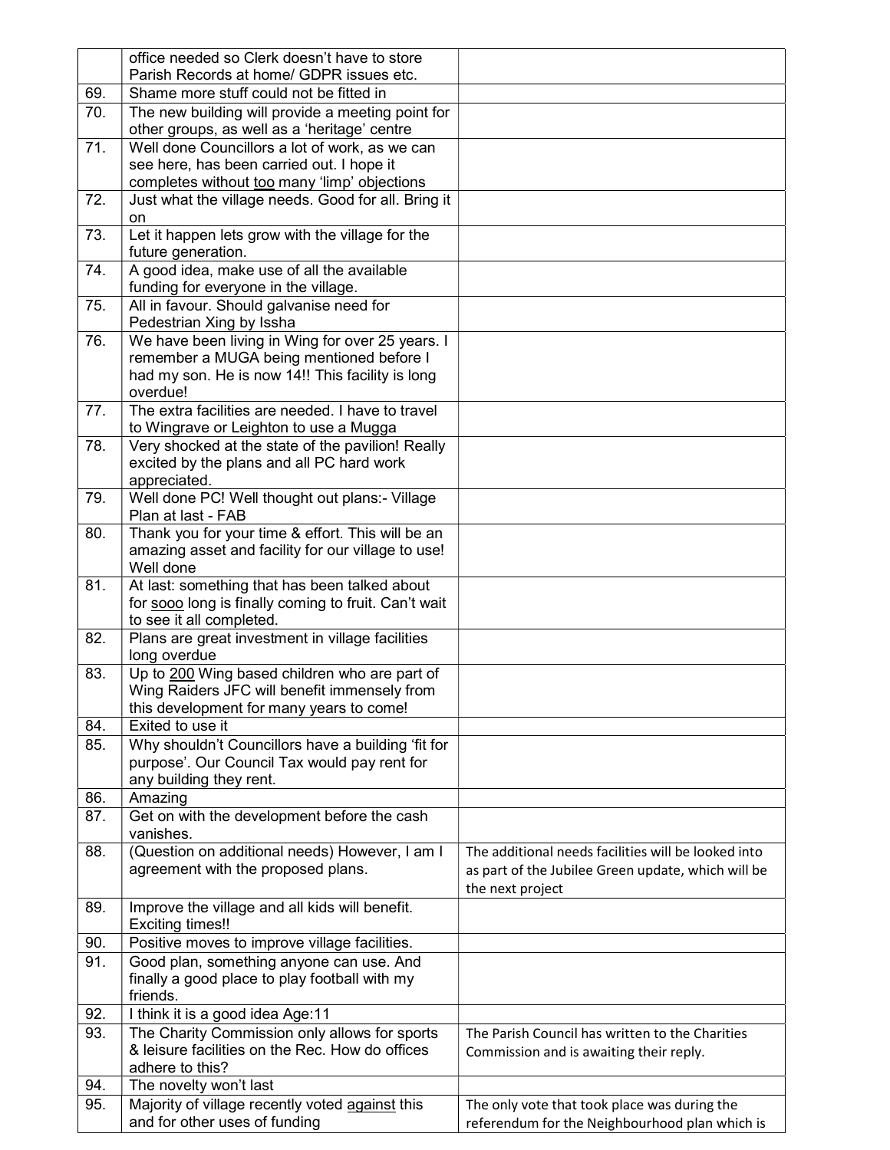|     | office needed so Clerk doesn't have to store                                                  |                                                     |
|-----|-----------------------------------------------------------------------------------------------|-----------------------------------------------------|
|     | Parish Records at home/ GDPR issues etc.                                                      |                                                     |
| 69. | Shame more stuff could not be fitted in                                                       |                                                     |
| 70. | The new building will provide a meeting point for                                             |                                                     |
|     | other groups, as well as a 'heritage' centre                                                  |                                                     |
| 71. | Well done Councillors a lot of work, as we can                                                |                                                     |
|     | see here, has been carried out. I hope it                                                     |                                                     |
|     | completes without too many 'limp' objections                                                  |                                                     |
| 72. | Just what the village needs. Good for all. Bring it                                           |                                                     |
|     | on                                                                                            |                                                     |
| 73. | Let it happen lets grow with the village for the                                              |                                                     |
|     | future generation.                                                                            |                                                     |
| 74. | A good idea, make use of all the available                                                    |                                                     |
| 75. | funding for everyone in the village.<br>All in favour. Should galvanise need for              |                                                     |
|     | Pedestrian Xing by Issha                                                                      |                                                     |
| 76. | We have been living in Wing for over 25 years. I                                              |                                                     |
|     | remember a MUGA being mentioned before I                                                      |                                                     |
|     | had my son. He is now 14!! This facility is long                                              |                                                     |
|     | overdue!                                                                                      |                                                     |
| 77. | The extra facilities are needed. I have to travel                                             |                                                     |
|     | to Wingrave or Leighton to use a Mugga                                                        |                                                     |
| 78. | Very shocked at the state of the pavilion! Really                                             |                                                     |
|     | excited by the plans and all PC hard work                                                     |                                                     |
|     | appreciated.                                                                                  |                                                     |
| 79. | Well done PC! Well thought out plans:- Village                                                |                                                     |
|     | Plan at last - FAB                                                                            |                                                     |
| 80. | Thank you for your time & effort. This will be an                                             |                                                     |
|     | amazing asset and facility for our village to use!                                            |                                                     |
|     | Well done                                                                                     |                                                     |
| 81. | At last: something that has been talked about                                                 |                                                     |
|     | for sooo long is finally coming to fruit. Can't wait                                          |                                                     |
|     | to see it all completed.                                                                      |                                                     |
| 82. | Plans are great investment in village facilities                                              |                                                     |
| 83. | long overdue                                                                                  |                                                     |
|     | Up to 200 Wing based children who are part of<br>Wing Raiders JFC will benefit immensely from |                                                     |
|     | this development for many years to come!                                                      |                                                     |
| 84. | Exited to use it                                                                              |                                                     |
| 85. | Why shouldn't Councillors have a building 'fit for                                            |                                                     |
|     | purpose'. Our Council Tax would pay rent for                                                  |                                                     |
|     | any building they rent.                                                                       |                                                     |
| 86. | Amazing                                                                                       |                                                     |
| 87. | Get on with the development before the cash                                                   |                                                     |
|     | vanishes.                                                                                     |                                                     |
| 88. | (Question on additional needs) However, I am I                                                | The additional needs facilities will be looked into |
|     | agreement with the proposed plans.                                                            | as part of the Jubilee Green update, which will be  |
|     |                                                                                               | the next project                                    |
| 89. | Improve the village and all kids will benefit.                                                |                                                     |
|     | <b>Exciting times!!</b>                                                                       |                                                     |
| 90. | Positive moves to improve village facilities.                                                 |                                                     |
| 91. | Good plan, something anyone can use. And                                                      |                                                     |
|     | finally a good place to play football with my                                                 |                                                     |
|     | friends.                                                                                      |                                                     |
| 92. | I think it is a good idea Age:11                                                              |                                                     |
| 93. | The Charity Commission only allows for sports                                                 | The Parish Council has written to the Charities     |
|     | & leisure facilities on the Rec. How do offices                                               | Commission and is awaiting their reply.             |
|     | adhere to this?                                                                               |                                                     |
| 94. | The novelty won't last                                                                        |                                                     |
| 95. | Majority of village recently voted against this                                               | The only vote that took place was during the        |
|     | and for other uses of funding                                                                 | referendum for the Neighbourhood plan which is      |
|     |                                                                                               |                                                     |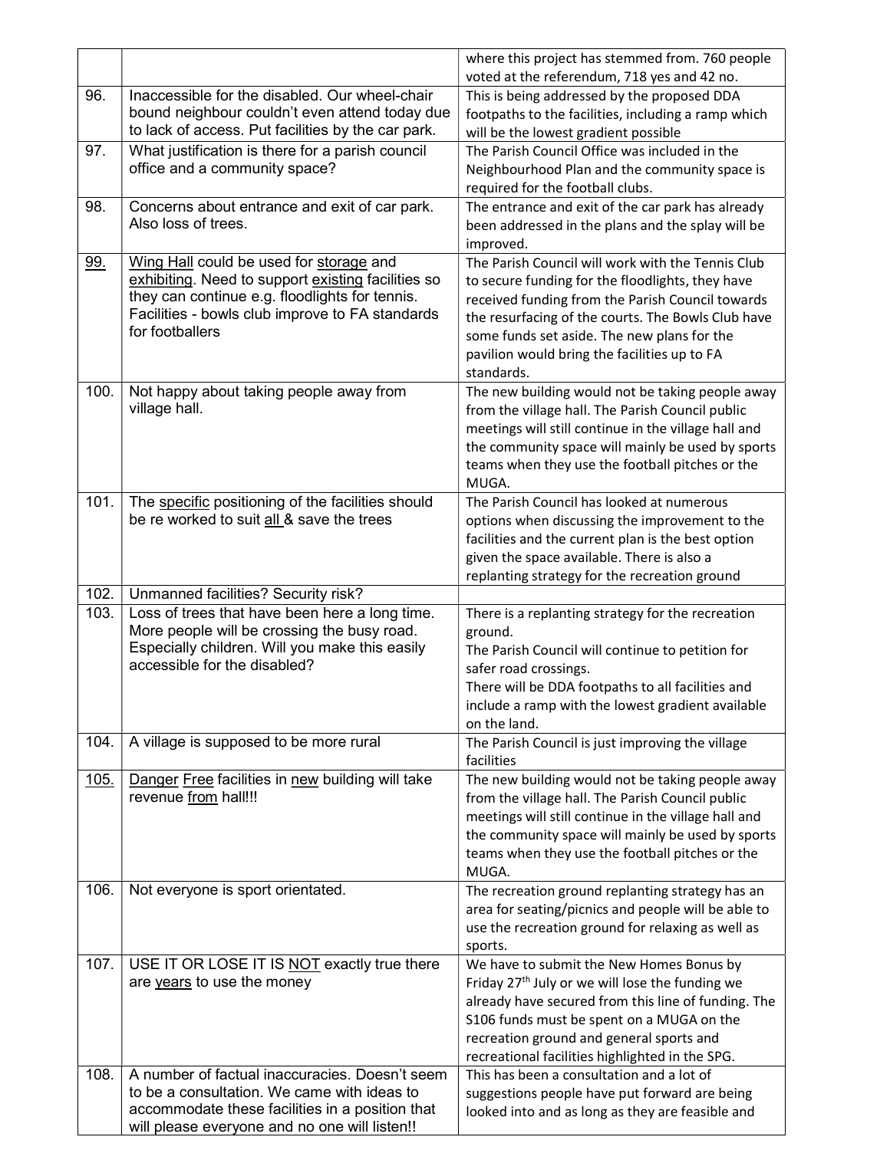|             |                                                                                                                                                                                                                       | where this project has stemmed from. 760 people<br>voted at the referendum, 718 yes and 42 no.                                                                                                                                                                                                                               |
|-------------|-----------------------------------------------------------------------------------------------------------------------------------------------------------------------------------------------------------------------|------------------------------------------------------------------------------------------------------------------------------------------------------------------------------------------------------------------------------------------------------------------------------------------------------------------------------|
| 96.         | Inaccessible for the disabled. Our wheel-chair<br>bound neighbour couldn't even attend today due<br>to lack of access. Put facilities by the car park.                                                                | This is being addressed by the proposed DDA<br>footpaths to the facilities, including a ramp which<br>will be the lowest gradient possible                                                                                                                                                                                   |
| 97.         | What justification is there for a parish council<br>office and a community space?                                                                                                                                     | The Parish Council Office was included in the<br>Neighbourhood Plan and the community space is<br>required for the football clubs.                                                                                                                                                                                           |
| 98.         | Concerns about entrance and exit of car park.<br>Also loss of trees.                                                                                                                                                  | The entrance and exit of the car park has already<br>been addressed in the plans and the splay will be<br>improved.                                                                                                                                                                                                          |
| <u>99.</u>  | Wing Hall could be used for storage and<br>exhibiting. Need to support existing facilities so<br>they can continue e.g. floodlights for tennis.<br>Facilities - bowls club improve to FA standards<br>for footballers | The Parish Council will work with the Tennis Club<br>to secure funding for the floodlights, they have<br>received funding from the Parish Council towards<br>the resurfacing of the courts. The Bowls Club have<br>some funds set aside. The new plans for the<br>pavilion would bring the facilities up to FA<br>standards. |
| 100.        | Not happy about taking people away from<br>village hall.                                                                                                                                                              | The new building would not be taking people away<br>from the village hall. The Parish Council public<br>meetings will still continue in the village hall and<br>the community space will mainly be used by sports<br>teams when they use the football pitches or the<br>MUGA.                                                |
| 101.        | The specific positioning of the facilities should<br>be re worked to suit all & save the trees                                                                                                                        | The Parish Council has looked at numerous<br>options when discussing the improvement to the<br>facilities and the current plan is the best option<br>given the space available. There is also a<br>replanting strategy for the recreation ground                                                                             |
| 102.        | Unmanned facilities? Security risk?                                                                                                                                                                                   |                                                                                                                                                                                                                                                                                                                              |
| 103.        | Loss of trees that have been here a long time.<br>More people will be crossing the busy road.<br>Especially children. Will you make this easily<br>accessible for the disabled?                                       | There is a replanting strategy for the recreation<br>ground.<br>The Parish Council will continue to petition for<br>safer road crossings.<br>There will be DDA footpaths to all facilities and<br>include a ramp with the lowest gradient available<br>on the land.                                                          |
| 104.        | A village is supposed to be more rural                                                                                                                                                                                | The Parish Council is just improving the village<br>facilities                                                                                                                                                                                                                                                               |
| <u>105.</u> | Danger Free facilities in new building will take<br>revenue from hall!!!                                                                                                                                              | The new building would not be taking people away<br>from the village hall. The Parish Council public<br>meetings will still continue in the village hall and<br>the community space will mainly be used by sports<br>teams when they use the football pitches or the<br>MUGA.                                                |
| 106.        | Not everyone is sport orientated.                                                                                                                                                                                     | The recreation ground replanting strategy has an<br>area for seating/picnics and people will be able to<br>use the recreation ground for relaxing as well as<br>sports.                                                                                                                                                      |
| 107.        | USE IT OR LOSE IT IS NOT exactly true there<br>are years to use the money                                                                                                                                             | We have to submit the New Homes Bonus by<br>Friday 27 <sup>th</sup> July or we will lose the funding we<br>already have secured from this line of funding. The<br>S106 funds must be spent on a MUGA on the<br>recreation ground and general sports and<br>recreational facilities highlighted in the SPG.                   |
| 108.        | A number of factual inaccuracies. Doesn't seem<br>to be a consultation. We came with ideas to<br>accommodate these facilities in a position that<br>will please everyone and no one will listen!!                     | This has been a consultation and a lot of<br>suggestions people have put forward are being<br>looked into and as long as they are feasible and                                                                                                                                                                               |